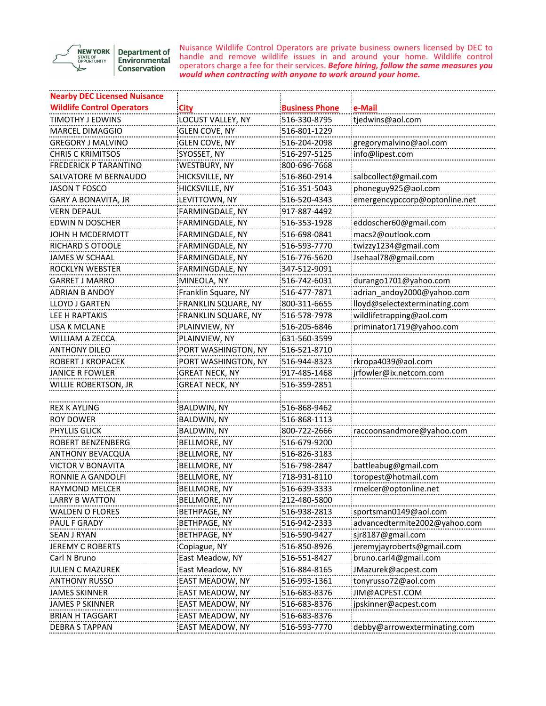

Department of<br>Environmental **Conservation** 

Nuisance Wildlife Control Operators are private business owners licensed by DEC to handle and remove wildlife issues in and around your home. Wildlife control operators charge a fee for their services. *Before hiring, follow the same measures you would when contracting with anyone to work around your home.*

| <b>Nearby DEC Licensed Nuisance</b> |                       |                       |                               |
|-------------------------------------|-----------------------|-----------------------|-------------------------------|
| <b>Wildlife Control Operators</b>   | City                  | <b>Business Phone</b> | e-Mail                        |
| TIMOTHY J EDWINS                    | LOCUST VALLEY, NY     | 516-330-8795          | tjedwins@aol.com              |
| MARCEL DIMAGGIO                     | GLEN COVE, NY         | 516-801-1229          |                               |
| <b>GREGORY J MALVINO</b>            | GLEN COVE, NY         | 516-204-2098          | gregorymalvino@aol.com        |
| <b>CHRIS C KRIMITSOS</b>            | SYOSSET, NY           | 516-297-5125          | info@lipest.com               |
| <b>FREDERICK P TARANTINO</b>        | WESTBURY, NY          | 800-696-7668          |                               |
| SALVATORE M BERNAUDO                | HICKSVILLE, NY        | 516-860-2914          | salbcollect@gmail.com         |
| <b>JASON T FOSCO</b>                | HICKSVILLE, NY        | 516-351-5043          | phoneguy925@aol.com           |
| GARY A BONAVITA, JR                 | LEVITTOWN, NY         | 516-520-4343          | emergencypccorp@optonline.net |
| <b>VERN DEPAUL</b>                  | FARMINGDALE, NY       | 917-887-4492          |                               |
| EDWIN N DOSCHER                     | FARMINGDALE, NY       | 516-353-1928          | eddoscher60@gmail.com         |
| JOHN H MCDERMOTT                    | FARMINGDALE, NY       | 516-698-0841          | macs2@outlook.com             |
| RICHARD S OTOOLE                    | FARMINGDALE, NY       | 516-593-7770          | twizzy1234@gmail.com          |
| <b>JAMES W SCHAAL</b>               | FARMINGDALE, NY       | 516-776-5620          | Jsehaal78@gmail.com           |
| ROCKLYN WEBSTER                     | FARMINGDALE, NY       | 347-512-9091          |                               |
| <b>GARRET J MARRO</b>               | MINEOLA, NY           | 516-742-6031          | durango1701@yahoo.com         |
| ADRIAN B ANDOY                      | Franklin Square, NY   | 516-477-7871          | adrian_andoy2000@yahoo.com    |
| LLOYD J GARTEN                      | FRANKLIN SQUARE, NY   | 800-311-6655          | lloyd@selectexterminating.com |
| LEE H RAPTAKIS                      | FRANKLIN SQUARE, NY   | 516-578-7978          | wildlifetrapping@aol.com      |
| <b>LISA K MCLANE</b>                | PLAINVIEW, NY         | 516-205-6846          | priminator1719@yahoo.com      |
| WILLIAM A ZECCA                     | PLAINVIEW, NY         | 631-560-3599          |                               |
| <b>ANTHONY DILEO</b>                | PORT WASHINGTON, NY   | 516-521-8710          |                               |
| ROBERT J KROPACEK                   | PORT WASHINGTON, NY   | 516-944-8323          | rkropa4039@aol.com            |
| JANICE R FOWLER                     | GREAT NECK, NY        | 917-485-1468          | jrfowler@ix.netcom.com        |
| WILLIE ROBERTSON, JR                | <b>GREAT NECK, NY</b> | 516-359-2851          |                               |
|                                     |                       |                       |                               |
| <b>REX K AYLING</b>                 | <b>BALDWIN, NY</b>    | 516-868-9462          |                               |
| ROY DOWER                           | BALDWIN, NY           | 516-868-1113          |                               |
| <b>PHYLLIS GLICK</b>                | BALDWIN, NY           | 800-722-2666          | raccoonsandmore@yahoo.com     |
| ROBERT BENZENBERG                   | BELLMORE, NY          | 516-679-9200          |                               |
| ANTHONY BEVACQUA                    | BELLMORE, NY          | 516-826-3183          |                               |
| VICTOR V BONAVITA                   | BELLMORE, NY          | 516-798-2847          | battleabug@gmail.com          |
| RONNIE A GANDOLFI                   | BELLMORE, NY          | 718-931-8110          | toropest@hotmail.com          |
| <b>RAYMOND MELCER</b>               | BELLMORE, NY          | 516-639-3333          | :rmelcer@optonline.net        |
| LARRY B WATTON                      | BELLMORE, NY          | 212-480-5800          |                               |
| WALDEN O FLORES                     | BETHPAGE, NY          | 516-938-2813          | sportsman0149@aol.com         |
| PAUL F GRADY                        | BETHPAGE, NY          | 516-942-2333          | advancedtermite2002@yahoo.com |
| SEAN J RYAN                         | BETHPAGE, NY          | 516-590-9427          | sjr8187@gmail.com             |
| <b>JEREMY C ROBERTS</b>             | Copiague, NY          | 516-850-8926          | jeremyjayroberts@gmail.com    |
| Carl N Bruno                        | East Meadow, NY       | 516-551-8427          | bruno.carl4@gmail.com         |
| <b>JULIEN C MAZUREK</b>             | East Meadow, NY       | 516-884-8165          | JMazurek@acpest.com           |
| <b>ANTHONY RUSSO</b>                | EAST MEADOW, NY       | 516-993-1361          | tonyrusso72@aol.com           |
| JAMES SKINNER                       | EAST MEADOW, NY       | 516-683-8376          | JIM@ACPEST.COM                |
| JAMES P SKINNER                     | EAST MEADOW, NY       | 516-683-8376          | jpskinner@acpest.com          |
| <b>BRIAN H TAGGART</b>              | EAST MEADOW, NY       | 516-683-8376          |                               |
| <b>DEBRA S TAPPAN</b>               | EAST MEADOW, NY       | 516-593-7770          | debby@arrowexterminating.com  |